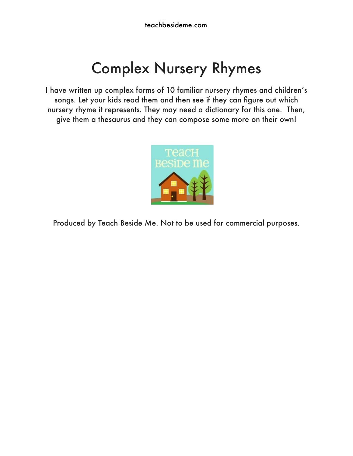## Complex Nursery Rhymes

I have written up complex forms of 10 familiar nursery rhymes and children's songs. Let your kids read them and then see if they can figure out which nursery rhyme it represents. They may need a dictionary for this one. Then, give them a thesaurus and they can compose some more on their own!



Produced by Teach Beside Me. Not to be used for commercial purposes.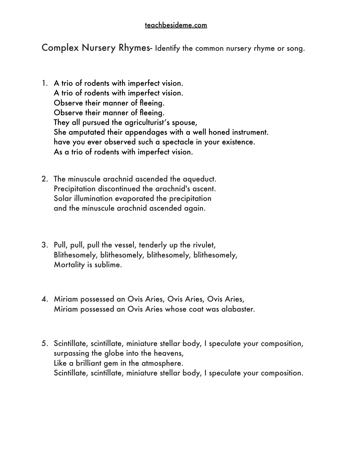Complex Nursery Rhymes- Identify the common nursery rhyme or song.

- 1. A trio of rodents with imperfect vision. A trio of rodents with imperfect vision. Observe their manner of fleeing. Observe their manner of fleeing. They all pursued the agriculturist's spouse, She amputated their appendages with a well honed instrument. have you ever observed such a spectacle in your existence. As a trio of rodents with imperfect vision.
- 2. The minuscule arachnid ascended the aqueduct. Precipitation discontinued the arachnid's ascent. Solar illumination evaporated the precipitation and the minuscule arachnid ascended again.
- 3. Pull, pull, pull the vessel, tenderly up the rivulet, Blithesomely, blithesomely, blithesomely, blithesomely, Mortality is sublime.
- 4. Miriam possessed an Ovis Aries, Ovis Aries, Ovis Aries, Miriam possessed an Ovis Aries whose coat was alabaster.
- 5. Scintillate, scintillate, miniature stellar body, I speculate your composition, surpassing the globe into the heavens, Like a brilliant gem in the atmosphere. Scintillate, scintillate, miniature stellar body, I speculate your composition.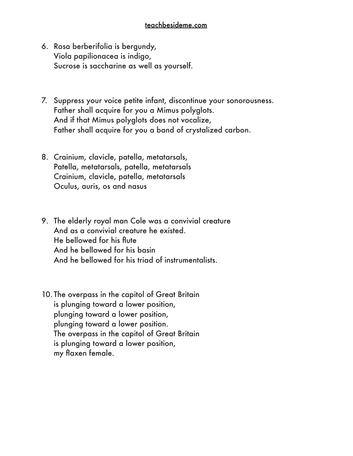## [teachbesideme.com](http://teachbesideme.com)

- 6. Rosa berberifolia is bergundy, Viola papilionacea is indigo, Sucrose is saccharine as well as yourself.
- 7. Suppress your voice petite infant, discontinue your sonorousness. Father shall acquire for you a Mimus polyglots. And if that Mimus polyglots does not vocalize, Father shall acquire for you a band of crystalized carbon.
- 8. Crainium, clavicle, patella, metatarsals, Patella, metatarsals, patella, metatarsals Crainium, clavicle, patella, metatarsals Oculus, auris, os and nasus
- 9. The elderly royal man Cole was a convivial creature And as a convivial creature he existed. He bellowed for his flute And he bellowed for his basin And he bellowed for his triad of instrumentalists.
- 10. The overpass in the capitol of Great Britain is plunging toward a lower position, plunging toward a lower position, plunging toward a lower position. The overpass in the capitol of Great Britain is plunging toward a lower position, my flaxen female.